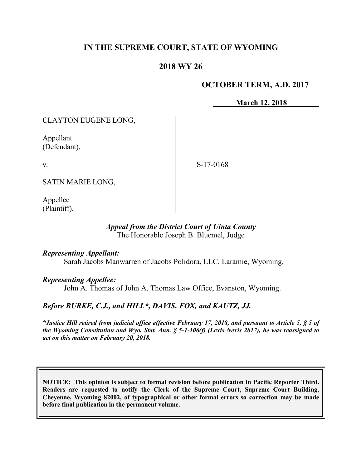# **IN THE SUPREME COURT, STATE OF WYOMING**

### **2018 WY 26**

### **OCTOBER TERM, A.D. 2017**

**March 12, 2018**

CLAYTON EUGENE LONG,

Appellant (Defendant),

v.

S-17-0168

SATIN MARIE LONG,

Appellee (Plaintiff).

#### *Appeal from the District Court of Uinta County* The Honorable Joseph B. Bluemel, Judge

#### *Representing Appellant:*

Sarah Jacobs Manwarren of Jacobs Polidora, LLC, Laramie, Wyoming.

*Representing Appellee:*

John A. Thomas of John A. Thomas Law Office, Evanston, Wyoming.

### *Before BURKE, C.J., and HILL\*, DAVIS, FOX, and KAUTZ, JJ.*

*\*Justice Hill retired from judicial office effective February 17, 2018, and pursuant to Article 5, § 5 of the Wyoming Constitution and Wyo. Stat. Ann. § 5-1-106(f) (Lexis Nexis 2017), he was reassigned to act on this matter on February 20, 2018.*

**NOTICE: This opinion is subject to formal revision before publication in Pacific Reporter Third. Readers are requested to notify the Clerk of the Supreme Court, Supreme Court Building, Cheyenne, Wyoming 82002, of typographical or other formal errors so correction may be made before final publication in the permanent volume.**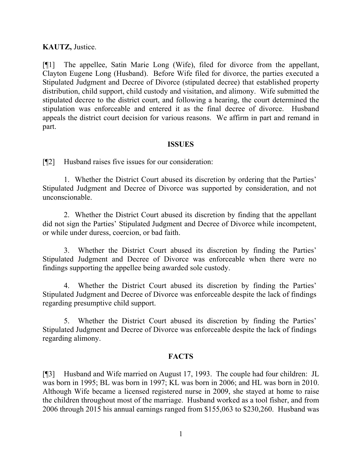#### **KAUTZ,** Justice.

[¶1] The appellee, Satin Marie Long (Wife), filed for divorce from the appellant, Clayton Eugene Long (Husband). Before Wife filed for divorce, the parties executed a Stipulated Judgment and Decree of Divorce (stipulated decree) that established property distribution, child support, child custody and visitation, and alimony. Wife submitted the stipulated decree to the district court, and following a hearing, the court determined the stipulation was enforceable and entered it as the final decree of divorce. Husband appeals the district court decision for various reasons. We affirm in part and remand in part.

#### **ISSUES**

[¶2] Husband raises five issues for our consideration:

1. Whether the District Court abused its discretion by ordering that the Parties' Stipulated Judgment and Decree of Divorce was supported by consideration, and not unconscionable.

2. Whether the District Court abused its discretion by finding that the appellant did not sign the Parties' Stipulated Judgment and Decree of Divorce while incompetent, or while under duress, coercion, or bad faith.

3. Whether the District Court abused its discretion by finding the Parties' Stipulated Judgment and Decree of Divorce was enforceable when there were no findings supporting the appellee being awarded sole custody.

Whether the District Court abused its discretion by finding the Parties' Stipulated Judgment and Decree of Divorce was enforceable despite the lack of findings regarding presumptive child support.

5. Whether the District Court abused its discretion by finding the Parties' Stipulated Judgment and Decree of Divorce was enforceable despite the lack of findings regarding alimony.

#### **FACTS**

[¶3] Husband and Wife married on August 17, 1993. The couple had four children: JL was born in 1995; BL was born in 1997; KL was born in 2006; and HL was born in 2010. Although Wife became a licensed registered nurse in 2009, she stayed at home to raise the children throughout most of the marriage. Husband worked as a tool fisher, and from 2006 through 2015 his annual earnings ranged from \$155,063 to \$230,260. Husband was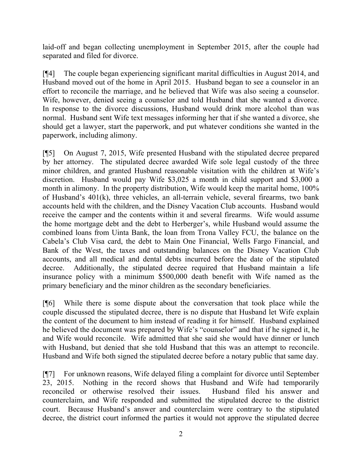laid-off and began collecting unemployment in September 2015, after the couple had separated and filed for divorce.

[¶4] The couple began experiencing significant marital difficulties in August 2014, and Husband moved out of the home in April 2015. Husband began to see a counselor in an effort to reconcile the marriage, and he believed that Wife was also seeing a counselor. Wife, however, denied seeing a counselor and told Husband that she wanted a divorce. In response to the divorce discussions, Husband would drink more alcohol than was normal. Husband sent Wife text messages informing her that if she wanted a divorce, she should get a lawyer, start the paperwork, and put whatever conditions she wanted in the paperwork, including alimony.

[¶5] On August 7, 2015, Wife presented Husband with the stipulated decree prepared by her attorney. The stipulated decree awarded Wife sole legal custody of the three minor children, and granted Husband reasonable visitation with the children at Wife's discretion. Husband would pay Wife \$3,025 a month in child support and \$3,000 a month in alimony. In the property distribution, Wife would keep the marital home, 100% of Husband's 401(k), three vehicles, an all-terrain vehicle, several firearms, two bank accounts held with the children, and the Disney Vacation Club accounts. Husband would receive the camper and the contents within it and several firearms. Wife would assume the home mortgage debt and the debt to Herberger's, while Husband would assume the combined loans from Uinta Bank, the loan from Trona Valley FCU, the balance on the Cabela's Club Visa card, the debt to Main One Financial, Wells Fargo Financial, and Bank of the West, the taxes and outstanding balances on the Disney Vacation Club accounts, and all medical and dental debts incurred before the date of the stipulated decree. Additionally, the stipulated decree required that Husband maintain a life insurance policy with a minimum \$500,000 death benefit with Wife named as the primary beneficiary and the minor children as the secondary beneficiaries.

[¶6] While there is some dispute about the conversation that took place while the couple discussed the stipulated decree, there is no dispute that Husband let Wife explain the content of the document to him instead of reading it for himself. Husband explained he believed the document was prepared by Wife's "counselor" and that if he signed it, he and Wife would reconcile. Wife admitted that she said she would have dinner or lunch with Husband, but denied that she told Husband that this was an attempt to reconcile. Husband and Wife both signed the stipulated decree before a notary public that same day.

[¶7] For unknown reasons, Wife delayed filing a complaint for divorce until September 23, 2015. Nothing in the record shows that Husband and Wife had temporarily reconciled or otherwise resolved their issues. Husband filed his answer and counterclaim, and Wife responded and submitted the stipulated decree to the district court. Because Husband's answer and counterclaim were contrary to the stipulated decree, the district court informed the parties it would not approve the stipulated decree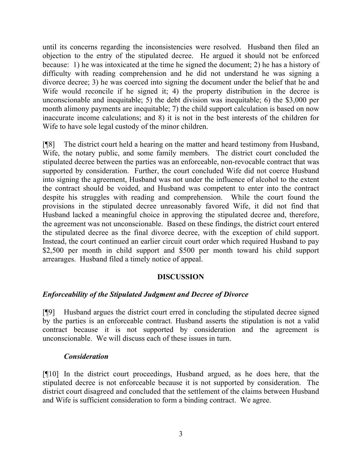until its concerns regarding the inconsistencies were resolved. Husband then filed an objection to the entry of the stipulated decree. He argued it should not be enforced because: 1) he was intoxicated at the time he signed the document; 2) he has a history of difficulty with reading comprehension and he did not understand he was signing a divorce decree; 3) he was coerced into signing the document under the belief that he and Wife would reconcile if he signed it; 4) the property distribution in the decree is unconscionable and inequitable; 5) the debt division was inequitable; 6) the \$3,000 per month alimony payments are inequitable; 7) the child support calculation is based on now inaccurate income calculations; and 8) it is not in the best interests of the children for Wife to have sole legal custody of the minor children.

[¶8] The district court held a hearing on the matter and heard testimony from Husband, Wife, the notary public, and some family members. The district court concluded the stipulated decree between the parties was an enforceable, non-revocable contract that was supported by consideration. Further, the court concluded Wife did not coerce Husband into signing the agreement, Husband was not under the influence of alcohol to the extent the contract should be voided, and Husband was competent to enter into the contract despite his struggles with reading and comprehension. While the court found the provisions in the stipulated decree unreasonably favored Wife, it did not find that Husband lacked a meaningful choice in approving the stipulated decree and, therefore, the agreement was not unconscionable. Based on these findings, the district court entered the stipulated decree as the final divorce decree, with the exception of child support. Instead, the court continued an earlier circuit court order which required Husband to pay \$2,500 per month in child support and \$500 per month toward his child support arrearages. Husband filed a timely notice of appeal.

#### **DISCUSSION**

### *Enforceability of the Stipulated Judgment and Decree of Divorce*

[¶9] Husband argues the district court erred in concluding the stipulated decree signed by the parties is an enforceable contract. Husband asserts the stipulation is not a valid contract because it is not supported by consideration and the agreement is unconscionable. We will discuss each of these issues in turn.

#### *Consideration*

[¶10] In the district court proceedings, Husband argued, as he does here, that the stipulated decree is not enforceable because it is not supported by consideration. The district court disagreed and concluded that the settlement of the claims between Husband and Wife is sufficient consideration to form a binding contract. We agree.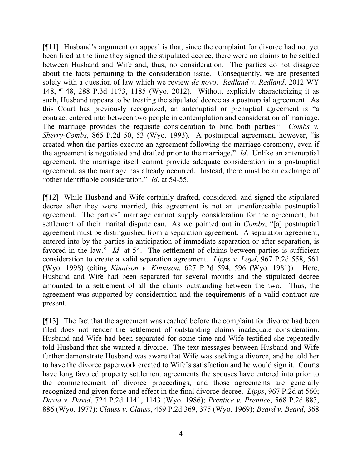[¶11] Husband's argument on appeal is that, since the complaint for divorce had not yet been filed at the time they signed the stipulated decree, there were no claims to be settled between Husband and Wife and, thus, no consideration. The parties do not disagree about the facts pertaining to the consideration issue. Consequently, we are presented solely with a question of law which we review *de novo*. *Redland v. Redland*, 2012 WY 148, ¶ 48, 288 P.3d 1173, 1185 (Wyo. 2012). Without explicitly characterizing it as such, Husband appears to be treating the stipulated decree as a postnuptial agreement. As this Court has previously recognized, an antenuptial or prenuptial agreement is "a contract entered into between two people in contemplation and consideration of marriage. The marriage provides the requisite consideration to bind both parties." *Combs v. Sherry-Combs*, 865 P.2d 50, 53 (Wyo. 1993). A postnuptial agreement, however, "is created when the parties execute an agreement following the marriage ceremony, even if the agreement is negotiated and drafted prior to the marriage." *Id*. Unlike an antenuptial agreement, the marriage itself cannot provide adequate consideration in a postnuptial agreement, as the marriage has already occurred. Instead, there must be an exchange of "other identifiable consideration." *Id*. at 54-55.

[¶12] While Husband and Wife certainly drafted, considered, and signed the stipulated decree after they were married, this agreement is not an unenforceable postnuptial agreement. The parties' marriage cannot supply consideration for the agreement, but settlement of their marital dispute can. As we pointed out in *Combs*, "[a] postnuptial agreement must be distinguished from a separation agreement. A separation agreement, entered into by the parties in anticipation of immediate separation or after separation, is favored in the law." *Id.* at 54. The settlement of claims between parties is sufficient consideration to create a valid separation agreement. *Lipps v. Loyd*, 967 P.2d 558, 561 (Wyo. 1998) (citing *Kinnison v. Kinnison*, 627 P.2d 594, 596 (Wyo. 1981)). Here, Husband and Wife had been separated for several months and the stipulated decree amounted to a settlement of all the claims outstanding between the two. Thus, the agreement was supported by consideration and the requirements of a valid contract are present.

[¶13] The fact that the agreement was reached before the complaint for divorce had been filed does not render the settlement of outstanding claims inadequate consideration. Husband and Wife had been separated for some time and Wife testified she repeatedly told Husband that she wanted a divorce. The text messages between Husband and Wife further demonstrate Husband was aware that Wife was seeking a divorce, and he told her to have the divorce paperwork created to Wife's satisfaction and he would sign it. Courts have long favored property settlement agreements the spouses have entered into prior to the commencement of divorce proceedings, and those agreements are generally recognized and given force and effect in the final divorce decree. *Lipps*, 967 P.2d at 560; *David v. David*, 724 P.2d 1141, 1143 (Wyo. 1986); *Prentice v. Prentice*, 568 P.2d 883, 886 (Wyo. 1977); *Clauss v. Clauss*, 459 P.2d 369, 375 (Wyo. 1969); *Beard v. Beard*, 368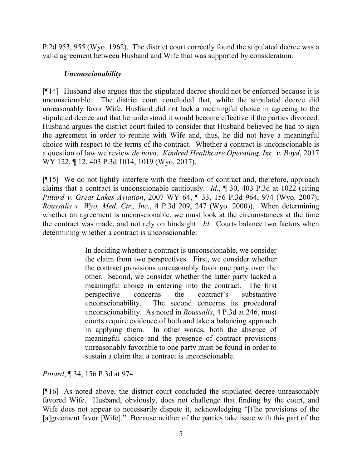P.2d 953, 955 (Wyo. 1962). The district court correctly found the stipulated decree was a valid agreement between Husband and Wife that was supported by consideration.

## *Unconscionability*

[¶14] Husband also argues that the stipulated decree should not be enforced because it is unconscionable. The district court concluded that, while the stipulated decree did unreasonably favor Wife, Husband did not lack a meaningful choice in agreeing to the stipulated decree and that he understood it would become effective if the parties divorced. Husband argues the district court failed to consider that Husband believed he had to sign the agreement in order to reunite with Wife and, thus, he did not have a meaningful choice with respect to the terms of the contract. Whether a contract is unconscionable is a question of law we review *de novo*. *Kindred Healthcare Operating, Inc. v. Boyd*, 2017 WY 122, ¶ 12, 403 P.3d 1014, 1019 (Wyo. 2017).

[¶15] We do not lightly interfere with the freedom of contract and, therefore, approach claims that a contract is unconscionable cautiously. *Id.*, ¶ 30, 403 P.3d at 1022 (citing *Pittard v. Great Lakes Aviation*, 2007 WY 64, ¶ 33, 156 P.3d 964, 974 (Wyo. 2007); *Roussalis v. Wyo. Med. Ctr., Inc.*, 4 P.3d 209, 247 (Wyo. 2000)). When determining whether an agreement is unconscionable, we must look at the circumstances at the time the contract was made, and not rely on hindsight. *Id*. Courts balance two factors when determining whether a contract is unconscionable:

> In deciding whether a contract is unconscionable, we consider the claim from two perspectives. First, we consider whether the contract provisions unreasonably favor one party over the other. Second, we consider whether the latter party lacked a meaningful choice in entering into the contract. The first perspective concerns the contract's substantive unconscionability. The second concerns its procedural unconscionability. As noted in *Roussalis*, 4 P.3d at 246, most courts require evidence of both and take a balancing approach in applying them. In other words, both the absence of meaningful choice and the presence of contract provisions unreasonably favorable to one party must be found in order to sustain a claim that a contract is unconscionable.

*Pittard*, ¶ 34, 156 P.3d at 974.

[¶16] As noted above, the district court concluded the stipulated decree unreasonably favored Wife. Husband, obviously, does not challenge that finding by the court, and Wife does not appear to necessarily dispute it, acknowledging "[t]he provisions of the [a]greement favor [Wife]." Because neither of the parties take issue with this part of the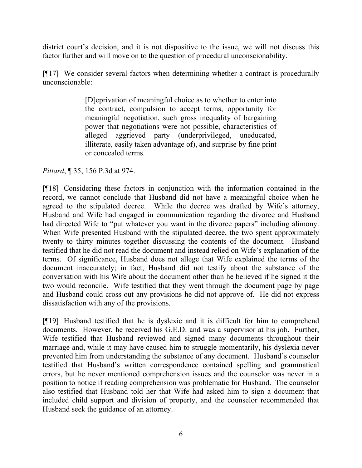district court's decision, and it is not dispositive to the issue, we will not discuss this factor further and will move on to the question of procedural unconscionability.

[¶17] We consider several factors when determining whether a contract is procedurally unconscionable:

> [D]eprivation of meaningful choice as to whether to enter into the contract, compulsion to accept terms, opportunity for meaningful negotiation, such gross inequality of bargaining power that negotiations were not possible, characteristics of alleged aggrieved party (underprivileged, uneducated, illiterate, easily taken advantage of), and surprise by fine print or concealed terms.

### *Pittard*, ¶ 35, 156 P.3d at 974.

[¶18] Considering these factors in conjunction with the information contained in the record, we cannot conclude that Husband did not have a meaningful choice when he agreed to the stipulated decree. While the decree was drafted by Wife's attorney, Husband and Wife had engaged in communication regarding the divorce and Husband had directed Wife to "put whatever you want in the divorce papers" including alimony. When Wife presented Husband with the stipulated decree, the two spent approximately twenty to thirty minutes together discussing the contents of the document. Husband testified that he did not read the document and instead relied on Wife's explanation of the terms. Of significance, Husband does not allege that Wife explained the terms of the document inaccurately; in fact, Husband did not testify about the substance of the conversation with his Wife about the document other than he believed if he signed it the two would reconcile. Wife testified that they went through the document page by page and Husband could cross out any provisions he did not approve of. He did not express dissatisfaction with any of the provisions.

[¶19] Husband testified that he is dyslexic and it is difficult for him to comprehend documents. However, he received his G.E.D. and was a supervisor at his job. Further, Wife testified that Husband reviewed and signed many documents throughout their marriage and, while it may have caused him to struggle momentarily, his dyslexia never prevented him from understanding the substance of any document. Husband's counselor testified that Husband's written correspondence contained spelling and grammatical errors, but he never mentioned comprehension issues and the counselor was never in a position to notice if reading comprehension was problematic for Husband. The counselor also testified that Husband told her that Wife had asked him to sign a document that included child support and division of property, and the counselor recommended that Husband seek the guidance of an attorney.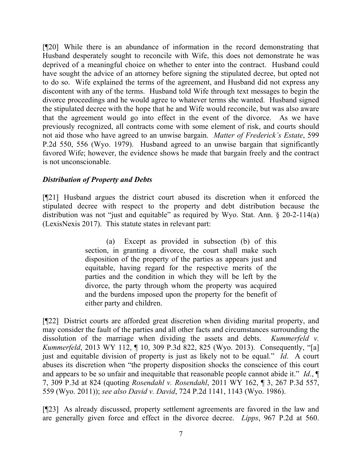[¶20] While there is an abundance of information in the record demonstrating that Husband desperately sought to reconcile with Wife, this does not demonstrate he was deprived of a meaningful choice on whether to enter into the contract. Husband could have sought the advice of an attorney before signing the stipulated decree, but opted not to do so. Wife explained the terms of the agreement, and Husband did not express any discontent with any of the terms. Husband told Wife through text messages to begin the divorce proceedings and he would agree to whatever terms she wanted. Husband signed the stipulated decree with the hope that he and Wife would reconcile, but was also aware that the agreement would go into effect in the event of the divorce. As we have previously recognized, all contracts come with some element of risk, and courts should not aid those who have agreed to an unwise bargain. *Matter of Frederick's Estate*, 599 P.2d 550, 556 (Wyo. 1979). Husband agreed to an unwise bargain that significantly favored Wife; however, the evidence shows he made that bargain freely and the contract is not unconscionable.

#### *Distribution of Property and Debts*

[¶21] Husband argues the district court abused its discretion when it enforced the stipulated decree with respect to the property and debt distribution because the distribution was not "just and equitable" as required by Wyo. Stat. Ann. § 20-2-114(a) (LexisNexis 2017). This statute states in relevant part:

> (a) Except as provided in subsection (b) of this section, in granting a divorce, the court shall make such disposition of the property of the parties as appears just and equitable, having regard for the respective merits of the parties and the condition in which they will be left by the divorce, the party through whom the property was acquired and the burdens imposed upon the property for the benefit of either party and children.

[¶22] District courts are afforded great discretion when dividing marital property, and may consider the fault of the parties and all other facts and circumstances surrounding the dissolution of the marriage when dividing the assets and debts. *Kummerfeld v. Kummerfeld*, 2013 WY 112, ¶ 10, 309 P.3d 822, 825 (Wyo. 2013). Consequently, "[a] just and equitable division of property is just as likely not to be equal." *Id*. A court abuses its discretion when "the property disposition shocks the conscience of this court and appears to be so unfair and inequitable that reasonable people cannot abide it." *Id*., ¶ 7, 309 P.3d at 824 (quoting *Rosendahl v. Rosendahl*, 2011 WY 162, ¶ 3, 267 P.3d 557, 559 (Wyo. 2011)); *see also David v. David*, 724 P.2d 1141, 1143 (Wyo. 1986).

[¶23] As already discussed, property settlement agreements are favored in the law and are generally given force and effect in the divorce decree. *Lipps*, 967 P.2d at 560.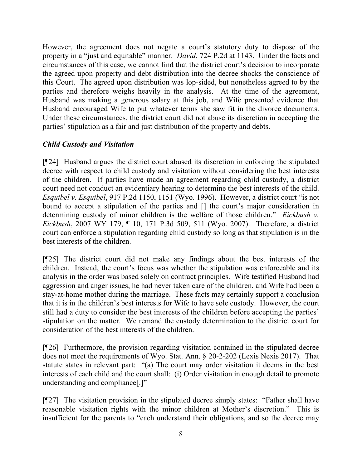However, the agreement does not negate a court's statutory duty to dispose of the property in a "just and equitable" manner. *David*, 724 P.2d at 1143. Under the facts and circumstances of this case, we cannot find that the district court's decision to incorporate the agreed upon property and debt distribution into the decree shocks the conscience of this Court. The agreed upon distribution was lop-sided, but nonetheless agreed to by the parties and therefore weighs heavily in the analysis. At the time of the agreement, Husband was making a generous salary at this job, and Wife presented evidence that Husband encouraged Wife to put whatever terms she saw fit in the divorce documents. Under these circumstances, the district court did not abuse its discretion in accepting the parties' stipulation as a fair and just distribution of the property and debts.

# *Child Custody and Visitation*

[¶24] Husband argues the district court abused its discretion in enforcing the stipulated decree with respect to child custody and visitation without considering the best interests of the children. If parties have made an agreement regarding child custody, a district court need not conduct an evidentiary hearing to determine the best interests of the child. *Esquibel v. Esquibel*, 917 P.2d 1150, 1151 (Wyo. 1996). However, a district court "is not bound to accept a stipulation of the parties and [] the court's major consideration in determining custody of minor children is the welfare of those children." *Eickbush v. Eickbush*, 2007 WY 179, ¶ 10, 171 P.3d 509, 511 (Wyo. 2007). Therefore, a district court can enforce a stipulation regarding child custody so long as that stipulation is in the best interests of the children.

[¶25] The district court did not make any findings about the best interests of the children. Instead, the court's focus was whether the stipulation was enforceable and its analysis in the order was based solely on contract principles. Wife testified Husband had aggression and anger issues, he had never taken care of the children, and Wife had been a stay-at-home mother during the marriage. These facts may certainly support a conclusion that it is in the children's best interests for Wife to have sole custody. However, the court still had a duty to consider the best interests of the children before accepting the parties' stipulation on the matter. We remand the custody determination to the district court for consideration of the best interests of the children.

[¶26] Furthermore, the provision regarding visitation contained in the stipulated decree does not meet the requirements of Wyo. Stat. Ann. § 20-2-202 (Lexis Nexis 2017). That statute states in relevant part: "(a) The court may order visitation it deems in the best interests of each child and the court shall: (i) Order visitation in enough detail to promote understanding and compliance[.]"

[¶27] The visitation provision in the stipulated decree simply states: "Father shall have reasonable visitation rights with the minor children at Mother's discretion." This is insufficient for the parents to "each understand their obligations, and so the decree may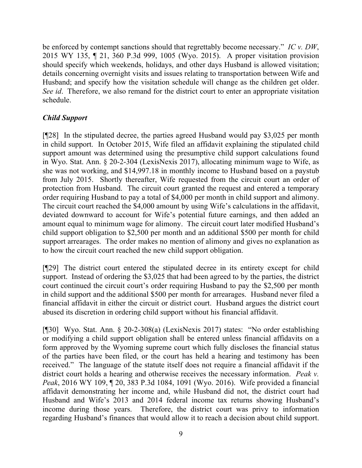be enforced by contempt sanctions should that regrettably become necessary." *IC v. DW*, 2015 WY 135, ¶ 21, 360 P.3d 999, 1005 (Wyo. 2015). A proper visitation provision should specify which weekends, holidays, and other days Husband is allowed visitation; details concerning overnight visits and issues relating to transportation between Wife and Husband; and specify how the visitation schedule will change as the children get older. *See id*. Therefore, we also remand for the district court to enter an appropriate visitation schedule.

# *Child Support*

[¶28] In the stipulated decree, the parties agreed Husband would pay \$3,025 per month in child support. In October 2015, Wife filed an affidavit explaining the stipulated child support amount was determined using the presumptive child support calculations found in Wyo. Stat. Ann. § 20-2-304 (LexisNexis 2017), allocating minimum wage to Wife, as she was not working, and \$14,997.18 in monthly income to Husband based on a paystub from July 2015. Shortly thereafter, Wife requested from the circuit court an order of protection from Husband. The circuit court granted the request and entered a temporary order requiring Husband to pay a total of \$4,000 per month in child support and alimony. The circuit court reached the \$4,000 amount by using Wife's calculations in the affidavit, deviated downward to account for Wife's potential future earnings, and then added an amount equal to minimum wage for alimony. The circuit court later modified Husband's child support obligation to \$2,500 per month and an additional \$500 per month for child support arrearages. The order makes no mention of alimony and gives no explanation as to how the circuit court reached the new child support obligation.

[¶29] The district court entered the stipulated decree in its entirety except for child support. Instead of ordering the \$3,025 that had been agreed to by the parties, the district court continued the circuit court's order requiring Husband to pay the \$2,500 per month in child support and the additional \$500 per month for arrearages. Husband never filed a financial affidavit in either the circuit or district court. Husband argues the district court abused its discretion in ordering child support without his financial affidavit.

[¶30] Wyo. Stat. Ann. § 20-2-308(a) (LexisNexis 2017) states: "No order establishing or modifying a child support obligation shall be entered unless financial affidavits on a form approved by the Wyoming supreme court which fully discloses the financial status of the parties have been filed, or the court has held a hearing and testimony has been received." The language of the statute itself does not require a financial affidavit if the district court holds a hearing and otherwise receives the necessary information. *Peak v. Peak*, 2016 WY 109, ¶ 20, 383 P.3d 1084, 1091 (Wyo. 2016). Wife provided a financial affidavit demonstrating her income and, while Husband did not, the district court had Husband and Wife's 2013 and 2014 federal income tax returns showing Husband's income during those years. Therefore, the district court was privy to information regarding Husband's finances that would allow it to reach a decision about child support.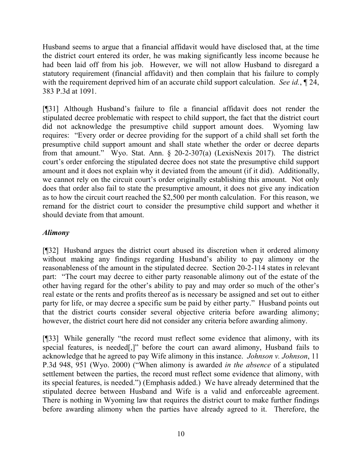Husband seems to argue that a financial affidavit would have disclosed that, at the time the district court entered its order, he was making significantly less income because he had been laid off from his job. However, we will not allow Husband to disregard a statutory requirement (financial affidavit) and then complain that his failure to comply with the requirement deprived him of an accurate child support calculation. *See id.*, ¶ 24, 383 P.3d at 1091.

[¶31] Although Husband's failure to file a financial affidavit does not render the stipulated decree problematic with respect to child support, the fact that the district court did not acknowledge the presumptive child support amount does. Wyoming law requires: "Every order or decree providing for the support of a child shall set forth the presumptive child support amount and shall state whether the order or decree departs from that amount." Wyo. Stat. Ann. § 20-2-307(a) (LexisNexis 2017). The district court's order enforcing the stipulated decree does not state the presumptive child support amount and it does not explain why it deviated from the amount (if it did). Additionally, we cannot rely on the circuit court's order originally establishing this amount. Not only does that order also fail to state the presumptive amount, it does not give any indication as to how the circuit court reached the \$2,500 per month calculation. For this reason, we remand for the district court to consider the presumptive child support and whether it should deviate from that amount.

### *Alimony*

[¶32] Husband argues the district court abused its discretion when it ordered alimony without making any findings regarding Husband's ability to pay alimony or the reasonableness of the amount in the stipulated decree. Section 20-2-114 states in relevant part: "The court may decree to either party reasonable alimony out of the estate of the other having regard for the other's ability to pay and may order so much of the other's real estate or the rents and profits thereof as is necessary be assigned and set out to either party for life, or may decree a specific sum be paid by either party." Husband points out that the district courts consider several objective criteria before awarding alimony; however, the district court here did not consider any criteria before awarding alimony.

[¶33] While generally "the record must reflect some evidence that alimony, with its special features, is needed[,]" before the court can award alimony, Husband fails to acknowledge that he agreed to pay Wife alimony in this instance. *Johnson v. Johnson*, 11 P.3d 948, 951 (Wyo. 2000) ("When alimony is awarded *in the absence* of a stipulated settlement between the parties, the record must reflect some evidence that alimony, with its special features, is needed.") (Emphasis added.) We have already determined that the stipulated decree between Husband and Wife is a valid and enforceable agreement. There is nothing in Wyoming law that requires the district court to make further findings before awarding alimony when the parties have already agreed to it. Therefore, the